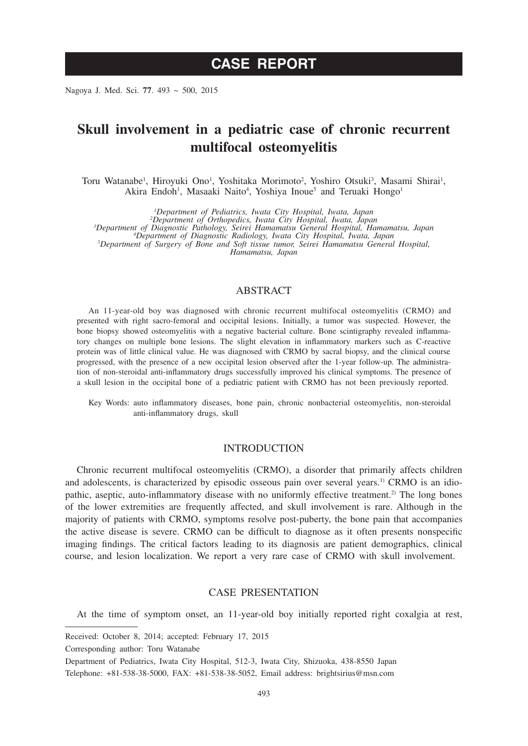Nagoya J. Med. Sci. **77**. 493 ~ 500, 2015

# **Skull involvement in a pediatric case of chronic recurrent multifocal osteomyelitis**

Toru Watanabe<sup>1</sup>, Hiroyuki Ono<sup>1</sup>, Yoshitaka Morimoto<sup>2</sup>, Yoshiro Otsuki<sup>3</sup>, Masami Shirai<sup>1</sup>, Akira Endoh<sup>1</sup>, Masaaki Naito<sup>4</sup>, Yoshiya Inoue<sup>5</sup> and Teruaki Hongo<sup>1</sup>

<sup>1</sup>Department of Pediatrics, Iwata City Hospital, Iwata, Japan<br><sup>3</sup>Department of Orthopedics, Iwata City Hospital, Iwata, Japan<br><sup>3</sup>Department of Diagnostic Pathology, Seirei Hamamatsu, Temeral Hospital, Hamamatsu, Japan<br><sup>5</sup> *Hamamatsu, Japan*

## ABSTRACT

An 11-year-old boy was diagnosed with chronic recurrent multifocal osteomyelitis (CRMO) and presented with right sacro-femoral and occipital lesions. Initially, a tumor was suspected. However, the bone biopsy showed osteomyelitis with a negative bacterial culture. Bone scintigraphy revealed inflammatory changes on multiple bone lesions. The slight elevation in inflammatory markers such as C-reactive protein was of little clinical value. He was diagnosed with CRMO by sacral biopsy, and the clinical course progressed, with the presence of a new occipital lesion observed after the 1-year follow-up. The administration of non-steroidal anti-inflammatory drugs successfully improved his clinical symptoms. The presence of a skull lesion in the occipital bone of a pediatric patient with CRMO has not been previously reported.

Key Words: auto inflammatory diseases, bone pain, chronic nonbacterial osteomyelitis, non-steroidal anti-inflammatory drugs, skull

## **INTRODUCTION**

Chronic recurrent multifocal osteomyelitis (CRMO), a disorder that primarily affects children and adolescents, is characterized by episodic osseous pain over several years.1) CRMO is an idiopathic, aseptic, auto-inflammatory disease with no uniformly effective treatment.<sup>2)</sup> The long bones of the lower extremities are frequently affected, and skull involvement is rare. Although in the majority of patients with CRMO, symptoms resolve post-puberty, the bone pain that accompanies the active disease is severe. CRMO can be difficult to diagnose as it often presents nonspecific imaging findings. The critical factors leading to its diagnosis are patient demographics, clinical course, and lesion localization. We report a very rare case of CRMO with skull involvement.

#### CASE PRESENTATION

At the time of symptom onset, an 11-year-old boy initially reported right coxalgia at rest,

Corresponding author: Toru Watanabe

Received: October 8, 2014; accepted: February 17, 2015

Department of Pediatrics, Iwata City Hospital, 512-3, Iwata City, Shizuoka, 438-8550 Japan Telephone: +81-538-38-5000, FAX: +81-538-38-5052, Email address: brightsirius@msn.com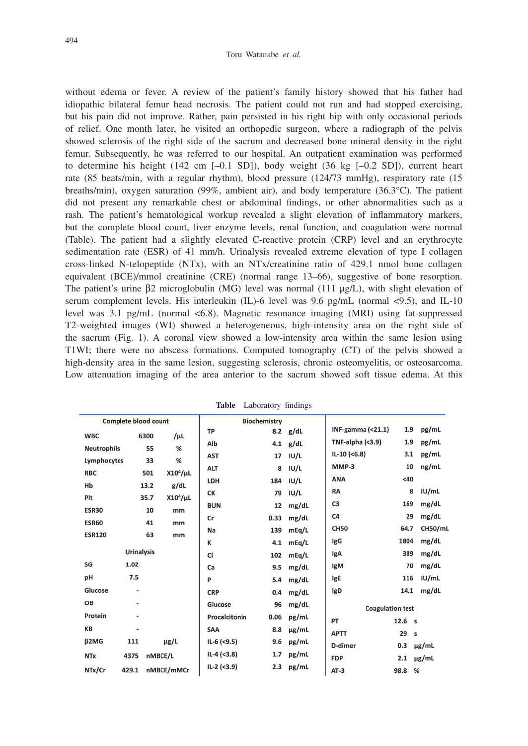#### Toru Watanabe *et al.*

without edema or fever. A review of the patient's family history showed that his father had idiopathic bilateral femur head necrosis. The patient could not run and had stopped exercising, but his pain did not improve. Rather, pain persisted in his right hip with only occasional periods of relief. One month later, he visited an orthopedic surgeon, where a radiograph of the pelvis showed sclerosis of the right side of the sacrum and decreased bone mineral density in the right femur. Subsequently, he was referred to our hospital. An outpatient examination was performed to determine his height (142 cm  $[-0.1 S D]$ ), body weight (36 kg  $[-0.2 S D]$ ), current heart rate (85 beats/min, with a regular rhythm), blood pressure (124/73 mmHg), respiratory rate (15 breaths/min), oxygen saturation (99%, ambient air), and body temperature (36.3°C). The patient did not present any remarkable chest or abdominal findings, or other abnormalities such as a rash. The patient's hematological workup revealed a slight elevation of inflammatory markers, but the complete blood count, liver enzyme levels, renal function, and coagulation were normal (Table). The patient had a slightly elevated C-reactive protein (CRP) level and an erythrocyte sedimentation rate (ESR) of 41 mm/h. Urinalysis revealed extreme elevation of type I collagen cross-linked N-telopeptide (NTx), with an NTx/creatinine ratio of 429.1 nmol bone collagen equivalent (BCE)/mmol creatinine (CRE) (normal range 13–66), suggestive of bone resorption. The patient's urine  $\beta$ 2 microglobulin (MG) level was normal (111  $\mu$ g/L), with slight elevation of serum complement levels. His interleukin (IL)-6 level was 9.6 pg/mL (normal <9.5), and IL-10 level was 3.1 pg/mL (normal <6.8). Magnetic resonance imaging (MRI) using fat-suppressed T2-weighted images (WI) showed a heterogeneous, high-intensity area on the right side of the sacrum (Fig. 1). A coronal view showed a low-intensity area within the same lesion using T1WI; there were no abscess formations. Computed tomography (CT) of the pelvis showed a high-density area in the same lesion, suggesting sclerosis, chronic osteomyelitis, or osteosarcoma. Low attenuation imaging of the area anterior to the sacrum showed soft tissue edema. At this

| Complete blood count |                          |      |               |               | <b>Biochemistry</b> |            |                         |                                  |                |
|----------------------|--------------------------|------|---------------|---------------|---------------------|------------|-------------------------|----------------------------------|----------------|
| <b>WBC</b>           |                          | 6300 | /µL           | TP            | 8.2                 | g/dL       | INF-gamma $($ <21.1 $)$ | 1.9                              | pg/mL          |
| <b>Neutrophils</b>   |                          | 55   | %             | Alb           | 4.1                 | g/dL       | TNF-alpha $($ <3.9)     | 1.9                              | pg/mL          |
| Lymphocytes          |                          | 33   | $\%$          | <b>AST</b>    | 17                  | IUI/L      | $IL-10 (< 6.8)$         | 3.1                              | pg/mL          |
| <b>RBC</b>           |                          | 501  | $X10^4/\mu L$ | <b>ALT</b>    | 8                   | IUI/L      | MMP-3                   | 10                               | ng/mL          |
| Hb                   |                          | 13.2 | g/dL          | LDH           | 184                 | IUI/L      | <b>ANA</b>              | <40                              |                |
| Plt                  |                          | 35.7 | $X10^4/\mu L$ | СK            | 79                  | IUI/L      | <b>RA</b>               | 8                                | IUI/mL         |
| <b>ESR30</b>         |                          | 10   | mm            | <b>BUN</b>    | 12                  | mg/dL      | C3                      | 169                              | mg/dL          |
| <b>ESR60</b>         |                          | 41   | mm            | Cr            | 0.33                | mg/dL      | C <sub>4</sub>          | 29                               | mg/dL          |
| <b>ESR120</b>        |                          | 63   | mm            | Na            | 139                 | mEq/L      | <b>CH50</b>             | 64.7                             | <b>CH50/mL</b> |
|                      |                          |      |               | к             | 4.1                 | mEq/L      | <b>IgG</b>              | 1804                             | mg/dL          |
|                      | <b>Urinalysis</b>        |      |               | CI            | 102                 | mEq/L      | lgA                     | 389                              | mg/dL          |
| SG                   | 1.02                     |      |               | Ca            | 9.5                 | mg/dL      | lgM                     | 70                               | mg/dL          |
| pH                   | 7.5                      |      |               | P             | 5.4                 | mg/dL      | IgE                     | 116                              | IUI/mL         |
| Glucose              | $\overline{\phantom{a}}$ |      |               | <b>CRP</b>    | 0.4                 | mg/dL      | IgD                     | 14.1                             | mg/dL          |
| OB                   | ٠                        |      |               | Glucose       | 96                  | mg/dL      |                         | <b>Coagulation test</b>          |                |
| Protein              | ٠                        |      |               | Procalcitonin | 0.06                | pg/mL      | PT                      | 12.6<br>$\overline{\phantom{a}}$ |                |
| КB                   | ٠                        |      |               | SAA           | 8.8                 | $\mu$ g/mL | <b>APTT</b>             | 29                               |                |
| <b>β2MG</b>          | 111                      |      | µg/L          | $IL-6$ (<9.5) | 9.6                 | pg/mL      |                         |                                  | s              |
| <b>NTx</b>           | 4375                     |      | nMBCE/L       | $IL-4$ (<3.8) | 1.7                 | pg/mL      | D-dimer                 | 0.3                              | µg/mL          |
|                      |                          |      |               | $IL-2$ (<3.9) | 2.3                 | pg/mL      | <b>FDP</b>              | 2.1                              | µg/mL          |
| NTx/Cr               | 429.1                    |      | nMBCE/mMCr    |               |                     |            | $AT-3$                  | 98.8                             | %              |

**Table** Laboratory findings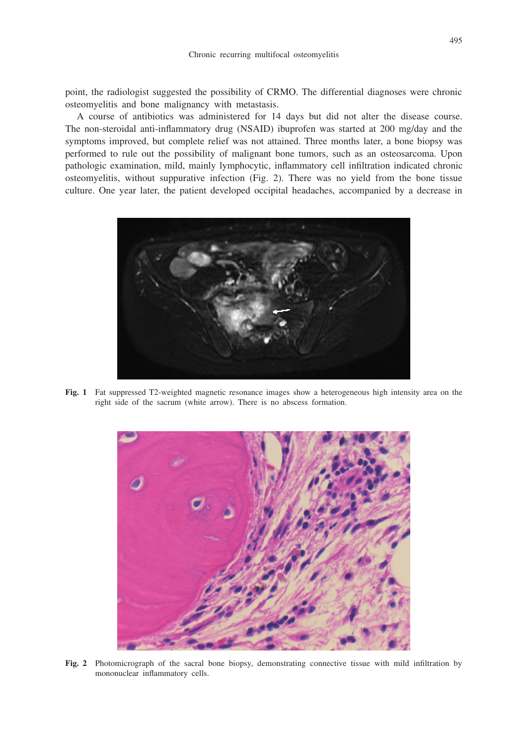point, the radiologist suggested the possibility of CRMO. The differential diagnoses were chronic osteomyelitis and bone malignancy with metastasis.

A course of antibiotics was administered for 14 days but did not alter the disease course. The non-steroidal anti-inflammatory drug (NSAID) ibuprofen was started at 200 mg/day and the symptoms improved, but complete relief was not attained. Three months later, a bone biopsy was performed to rule out the possibility of malignant bone tumors, such as an osteosarcoma. Upon pathologic examination, mild, mainly lymphocytic, inflammatory cell infiltration indicated chronic osteomyelitis, without suppurative infection (Fig. 2). There was no yield from the bone tissue culture. One year later, the patient developed occipital headaches, accompanied by a decrease in



**Fig. 1** Fat suppressed T2-weighted magnetic resonance images show a heterogeneous high intensity area on the right side of the sacrum (white arrow). There is no abscess formation.



**Fig. 2** Photomicrograph of the sacral bone biopsy, demonstrating connective tissue with mild infiltration by mononuclear inflammatory cells.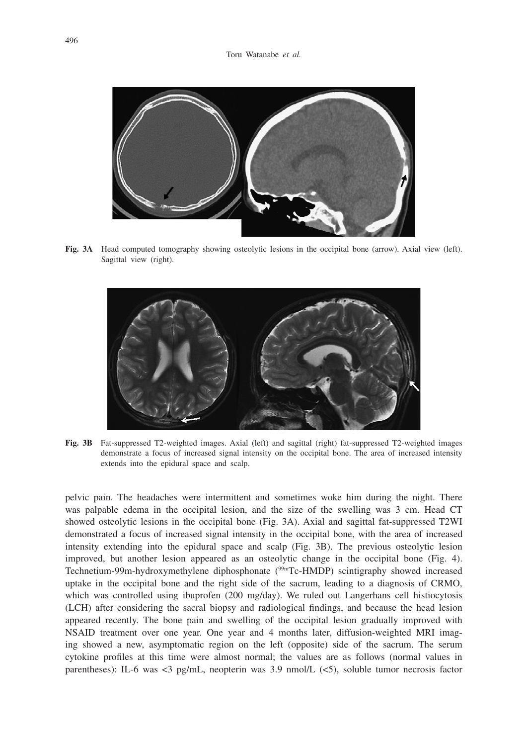

**Fig. 3A** Head computed tomography showing osteolytic lesions in the occipital bone (arrow). Axial view (left). Sagittal view (right).



**Fig. 3B** Fat-suppressed T2-weighted images. Axial (left) and sagittal (right) fat-suppressed T2-weighted images demonstrate a focus of increased signal intensity on the occipital bone. The area of increased intensity extends into the epidural space and scalp.

pelvic pain. The headaches were intermittent and sometimes woke him during the night. There was palpable edema in the occipital lesion, and the size of the swelling was 3 cm. Head CT showed osteolytic lesions in the occipital bone (Fig. 3A). Axial and sagittal fat-suppressed T2WI demonstrated a focus of increased signal intensity in the occipital bone, with the area of increased intensity extending into the epidural space and scalp (Fig. 3B). The previous osteolytic lesion improved, but another lesion appeared as an osteolytic change in the occipital bone (Fig. 4). Technetium-99m-hydroxymethylene diphosphonate (99mTc-HMDP) scintigraphy showed increased uptake in the occipital bone and the right side of the sacrum, leading to a diagnosis of CRMO, which was controlled using ibuprofen (200 mg/day). We ruled out Langerhans cell histiocytosis (LCH) after considering the sacral biopsy and radiological findings, and because the head lesion appeared recently. The bone pain and swelling of the occipital lesion gradually improved with NSAID treatment over one year. One year and 4 months later, diffusion-weighted MRI imaging showed a new, asymptomatic region on the left (opposite) side of the sacrum. The serum cytokine profiles at this time were almost normal; the values are as follows (normal values in parentheses): IL-6 was <3 pg/mL, neopterin was 3.9 nmol/L (<5), soluble tumor necrosis factor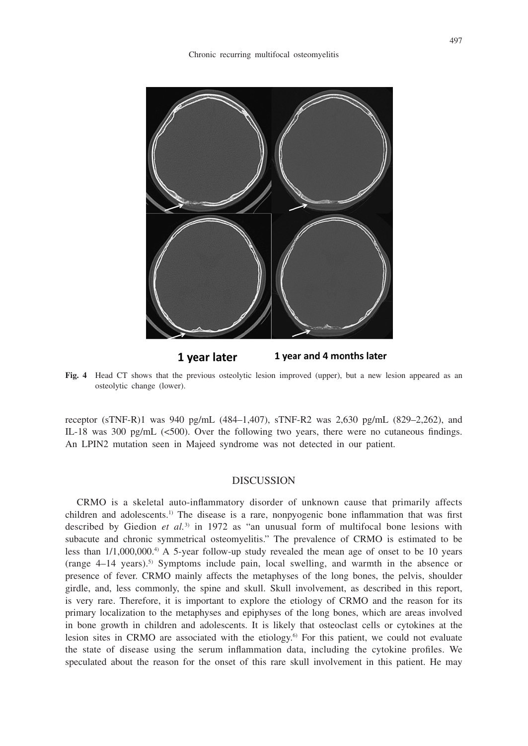

1 year later 1 year and 4 months later

**Fig. 4** Head CT shows that the previous osteolytic lesion improved (upper), but a new lesion appeared as an osteolytic change (lower).

receptor (sTNF-R)1 was 940 pg/mL (484–1,407), sTNF-R2 was 2,630 pg/mL (829–2,262), and IL-18 was 300 pg/mL (<500). Over the following two years, there were no cutaneous findings. An LPIN2 mutation seen in Majeed syndrome was not detected in our patient.

## **DISCUSSION**

CRMO is a skeletal auto-inflammatory disorder of unknown cause that primarily affects children and adolescents.<sup>1)</sup> The disease is a rare, nonpyogenic bone inflammation that was first described by Giedion et al.<sup>3)</sup> in 1972 as "an unusual form of multifocal bone lesions with subacute and chronic symmetrical osteomyelitis." The prevalence of CRMO is estimated to be less than  $1/1,000,000$ .<sup>4</sup> A 5-year follow-up study revealed the mean age of onset to be 10 years (range 4–14 years).5) Symptoms include pain, local swelling, and warmth in the absence or presence of fever. CRMO mainly affects the metaphyses of the long bones, the pelvis, shoulder girdle, and, less commonly, the spine and skull. Skull involvement, as described in this report, is very rare. Therefore, it is important to explore the etiology of CRMO and the reason for its primary localization to the metaphyses and epiphyses of the long bones, which are areas involved in bone growth in children and adolescents. It is likely that osteoclast cells or cytokines at the lesion sites in CRMO are associated with the etiology.<sup>6</sup> For this patient, we could not evaluate the state of disease using the serum inflammation data, including the cytokine profiles. We speculated about the reason for the onset of this rare skull involvement in this patient. He may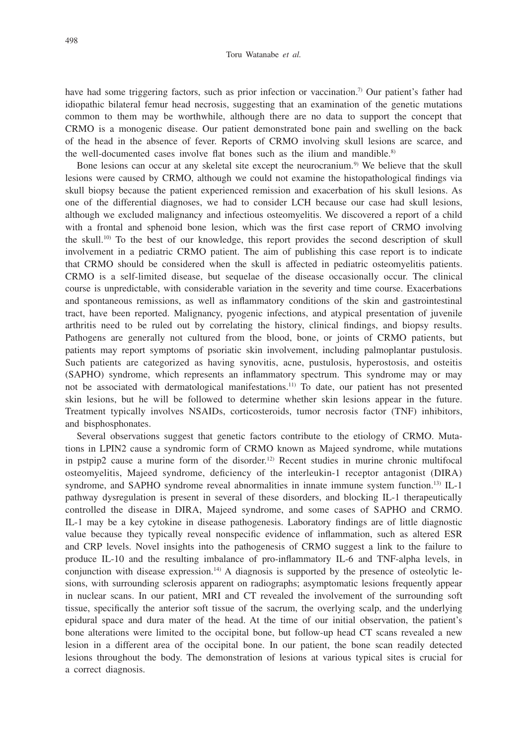have had some triggering factors, such as prior infection or vaccination.<sup>7</sup> Our patient's father had idiopathic bilateral femur head necrosis, suggesting that an examination of the genetic mutations common to them may be worthwhile, although there are no data to support the concept that CRMO is a monogenic disease. Our patient demonstrated bone pain and swelling on the back of the head in the absence of fever. Reports of CRMO involving skull lesions are scarce, and the well-documented cases involve flat bones such as the ilium and mandible.<sup>8)</sup>

Bone lesions can occur at any skeletal site except the neurocranium.9) We believe that the skull lesions were caused by CRMO, although we could not examine the histopathological findings via skull biopsy because the patient experienced remission and exacerbation of his skull lesions. As one of the differential diagnoses, we had to consider LCH because our case had skull lesions, although we excluded malignancy and infectious osteomyelitis. We discovered a report of a child with a frontal and sphenoid bone lesion, which was the first case report of CRMO involving the skull.<sup>10)</sup> To the best of our knowledge, this report provides the second description of skull involvement in a pediatric CRMO patient. The aim of publishing this case report is to indicate that CRMO should be considered when the skull is affected in pediatric osteomyelitis patients. CRMO is a self-limited disease, but sequelae of the disease occasionally occur. The clinical course is unpredictable, with considerable variation in the severity and time course. Exacerbations and spontaneous remissions, as well as inflammatory conditions of the skin and gastrointestinal tract, have been reported. Malignancy, pyogenic infections, and atypical presentation of juvenile arthritis need to be ruled out by correlating the history, clinical findings, and biopsy results. Pathogens are generally not cultured from the blood, bone, or joints of CRMO patients, but patients may report symptoms of psoriatic skin involvement, including palmoplantar pustulosis. Such patients are categorized as having synovitis, acne, pustulosis, hyperostosis, and osteitis (SAPHO) syndrome, which represents an inflammatory spectrum. This syndrome may or may not be associated with dermatological manifestations.11) To date, our patient has not presented skin lesions, but he will be followed to determine whether skin lesions appear in the future. Treatment typically involves NSAIDs, corticosteroids, tumor necrosis factor (TNF) inhibitors, and bisphosphonates.

Several observations suggest that genetic factors contribute to the etiology of CRMO. Mutations in LPIN2 cause a syndromic form of CRMO known as Majeed syndrome, while mutations in pstpip2 cause a murine form of the disorder.<sup>12)</sup> Recent studies in murine chronic multifocal osteomyelitis, Majeed syndrome, deficiency of the interleukin-1 receptor antagonist (DIRA) syndrome, and SAPHO syndrome reveal abnormalities in innate immune system function.13) IL-1 pathway dysregulation is present in several of these disorders, and blocking IL-1 therapeutically controlled the disease in DIRA, Majeed syndrome, and some cases of SAPHO and CRMO. IL-1 may be a key cytokine in disease pathogenesis. Laboratory findings are of little diagnostic value because they typically reveal nonspecific evidence of inflammation, such as altered ESR and CRP levels. Novel insights into the pathogenesis of CRMO suggest a link to the failure to produce IL-10 and the resulting imbalance of pro-inflammatory IL-6 and TNF-alpha levels, in conjunction with disease expression.14) A diagnosis is supported by the presence of osteolytic lesions, with surrounding sclerosis apparent on radiographs; asymptomatic lesions frequently appear in nuclear scans. In our patient, MRI and CT revealed the involvement of the surrounding soft tissue, specifically the anterior soft tissue of the sacrum, the overlying scalp, and the underlying epidural space and dura mater of the head. At the time of our initial observation, the patient's bone alterations were limited to the occipital bone, but follow-up head CT scans revealed a new lesion in a different area of the occipital bone. In our patient, the bone scan readily detected lesions throughout the body. The demonstration of lesions at various typical sites is crucial for a correct diagnosis.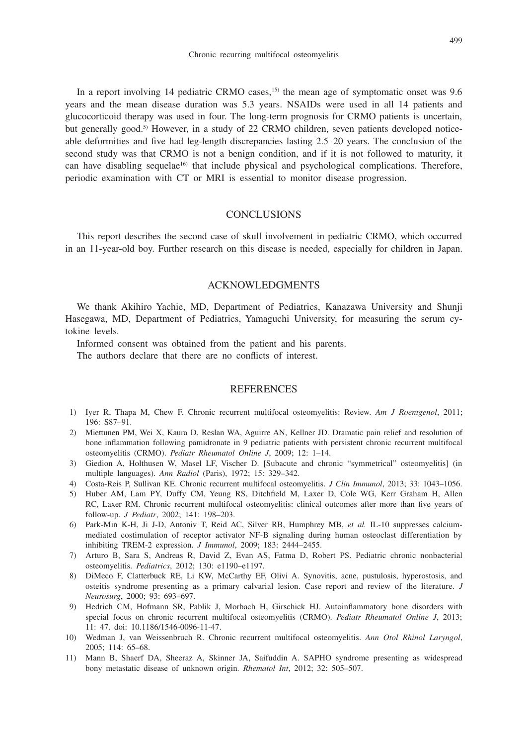In a report involving 14 pediatric CRMO cases, $15$  the mean age of symptomatic onset was 9.6 years and the mean disease duration was 5.3 years. NSAIDs were used in all 14 patients and glucocorticoid therapy was used in four. The long-term prognosis for CRMO patients is uncertain, but generally good.<sup>5)</sup> However, in a study of 22 CRMO children, seven patients developed noticeable deformities and five had leg-length discrepancies lasting 2.5–20 years. The conclusion of the second study was that CRMO is not a benign condition, and if it is not followed to maturity, it can have disabling sequelae<sup>16)</sup> that include physical and psychological complications. Therefore, periodic examination with CT or MRI is essential to monitor disease progression.

## **CONCLUSIONS**

This report describes the second case of skull involvement in pediatric CRMO, which occurred in an 11-year-old boy. Further research on this disease is needed, especially for children in Japan.

### ACKNOWLEDGMENTS

We thank Akihiro Yachie, MD, Department of Pediatrics, Kanazawa University and Shunji Hasegawa, MD, Department of Pediatrics, Yamaguchi University, for measuring the serum cytokine levels.

Informed consent was obtained from the patient and his parents.

The authors declare that there are no conflicts of interest.

#### **REFERENCES**

- 1) Iyer R, Thapa M, Chew F. Chronic recurrent multifocal osteomyelitis: Review. *Am J Roentgenol*, 2011; 196: S87–91.
- 2) Miettunen PM, Wei X, Kaura D, Reslan WA, Aguirre AN, Kellner JD. Dramatic pain relief and resolution of bone inflammation following pamidronate in 9 pediatric patients with persistent chronic recurrent multifocal osteomyelitis (CRMO). *Pediatr Rheumatol Online J*, 2009; 12: 1–14.
- 3) Giedion A, Holthusen W, Masel LF, Vischer D. [Subacute and chronic "symmetrical" osteomyelitis] (in multiple languages). *Ann Radiol* (Paris), 1972; 15: 329–342.
- 4) Costa-Reis P, Sullivan KE. Chronic recurrent multifocal osteomyelitis. *J Clin Immunol*, 2013; 33: 1043–1056.
- 5) Huber AM, Lam PY, Duffy CM, Yeung RS, Ditchfield M, Laxer D, Cole WG, Kerr Graham H, Allen RC, Laxer RM. Chronic recurrent multifocal osteomyelitis: clinical outcomes after more than five years of follow-up. *J Pediatr*, 2002; 141: 198–203.
- 6) Park-Min K-H, Ji J-D, Antoniv T, Reid AC, Silver RB, Humphrey MB, *et al.* IL-10 suppresses calciummediated costimulation of receptor activator NF-B signaling during human osteoclast differentiation by inhibiting TREM-2 expression. *J Immunol*, 2009; 183: 2444–2455.
- 7) Arturo B, Sara S, Andreas R, David Z, Evan AS, Fatma D, Robert PS. Pediatric chronic nonbacterial osteomyelitis. *Pediatrics*, 2012; 130: e1190–e1197.
- 8) DiMeco F, Clatterbuck RE, Li KW, McCarthy EF, Olivi A. Synovitis, acne, pustulosis, hyperostosis, and osteitis syndrome presenting as a primary calvarial lesion. Case report and review of the literature. *J Neurosurg*, 2000; 93: 693–697.
- 9) Hedrich CM, Hofmann SR, Pablik J, Morbach H, Girschick HJ. Autoinflammatory bone disorders with special focus on chronic recurrent multifocal osteomyelitis (CRMO). *Pediatr Rheumatol Online J*, 2013; 11: 47. doi: 10.1186/1546-0096-11-47.
- 10) Wedman J, van Weissenbruch R. Chronic recurrent multifocal osteomyelitis. *Ann Otol Rhinol Laryngol*, 2005; 114: 65–68.
- 11) Mann B, Shaerf DA, Sheeraz A, Skinner JA, Saifuddin A. SAPHO syndrome presenting as widespread bony metastatic disease of unknown origin. *Rhematol Int*, 2012; 32: 505–507.